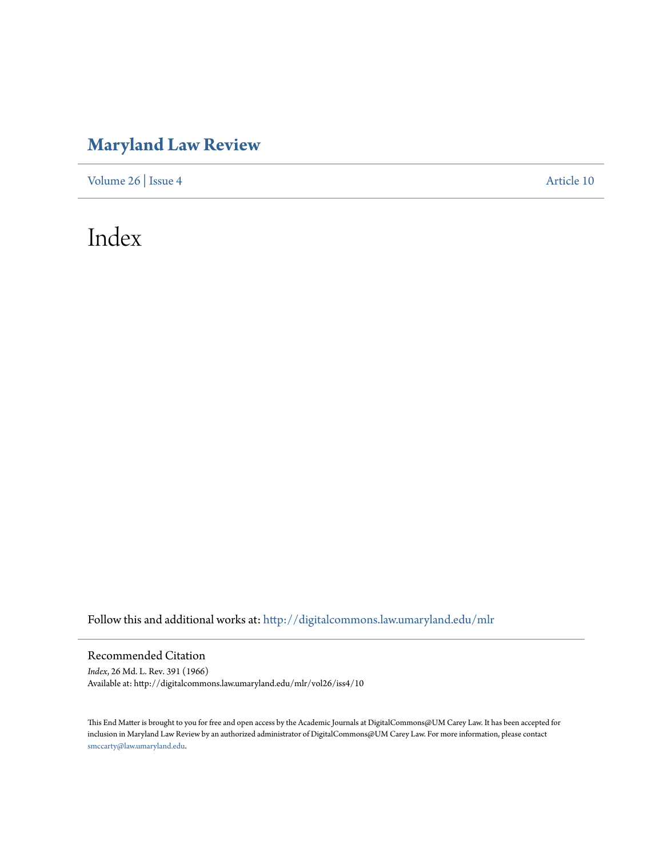# **[Maryland Law Review](http://digitalcommons.law.umaryland.edu/mlr?utm_source=digitalcommons.law.umaryland.edu%2Fmlr%2Fvol26%2Fiss4%2F10&utm_medium=PDF&utm_campaign=PDFCoverPages)**

[Volume 26](http://digitalcommons.law.umaryland.edu/mlr/vol26?utm_source=digitalcommons.law.umaryland.edu%2Fmlr%2Fvol26%2Fiss4%2F10&utm_medium=PDF&utm_campaign=PDFCoverPages) | [Issue 4](http://digitalcommons.law.umaryland.edu/mlr/vol26/iss4?utm_source=digitalcommons.law.umaryland.edu%2Fmlr%2Fvol26%2Fiss4%2F10&utm_medium=PDF&utm_campaign=PDFCoverPages) [Article 10](http://digitalcommons.law.umaryland.edu/mlr/vol26/iss4/10?utm_source=digitalcommons.law.umaryland.edu%2Fmlr%2Fvol26%2Fiss4%2F10&utm_medium=PDF&utm_campaign=PDFCoverPages)

# Index

Follow this and additional works at: [http://digitalcommons.law.umaryland.edu/mlr](http://digitalcommons.law.umaryland.edu/mlr?utm_source=digitalcommons.law.umaryland.edu%2Fmlr%2Fvol26%2Fiss4%2F10&utm_medium=PDF&utm_campaign=PDFCoverPages)

### Recommended Citation

*Index*, 26 Md. L. Rev. 391 (1966) Available at: http://digitalcommons.law.umaryland.edu/mlr/vol26/iss4/10

This End Matter is brought to you for free and open access by the Academic Journals at DigitalCommons@UM Carey Law. It has been accepted for inclusion in Maryland Law Review by an authorized administrator of DigitalCommons@UM Carey Law. For more information, please contact [smccarty@law.umaryland.edu.](mailto:smccarty@law.umaryland.edu)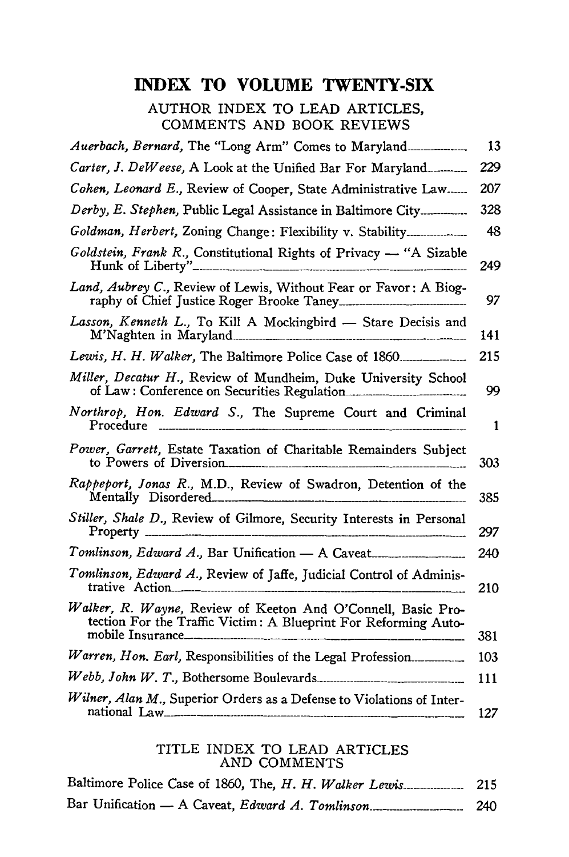# **INDEX TO VOLUME TWENTY-SIX**

AUTHOR INDEX TO LEAD ARTICLES, COMMENTS AND BOOK REVIEWS

|                                                                                                                                 | 13  |
|---------------------------------------------------------------------------------------------------------------------------------|-----|
| Carter, J. DeWeese, A Look at the Unified Bar For Maryland                                                                      | 229 |
| Cohen, Leonard E., Review of Cooper, State Administrative Law                                                                   | 207 |
| Derby, E. Stephen, Public Legal Assistance in Baltimore City                                                                    | 328 |
| Goldman, Herbert, Zoning Change: Flexibility v. Stability                                                                       | 48  |
| Goldstein, Frank R., Constitutional Rights of Privacy - "A Sizable                                                              | 249 |
| Land, Aubrey C., Review of Lewis, Without Fear or Favor: A Biog-                                                                | 97  |
| Lasson, Kenneth L., To Kill A Mockingbird - Stare Decisis and                                                                   | 141 |
|                                                                                                                                 | 215 |
| Miller, Decatur H., Review of Mundheim, Duke University School<br>of Law: Conference on Securities Regulation                   | 99  |
| Northrop, Hon. Edward S., The Supreme Court and Criminal<br>Procedure ---------------------------                               | 1   |
| Power, Garrett, Estate Taxation of Charitable Remainders Subject<br>to Powers of Diversion                                      | 303 |
| Rappeport, Jonas R., M.D., Review of Swadron, Detention of the<br>Mentally Disordered                                           | 385 |
| Stiller, Shale D., Review of Gilmore, Security Interests in Personal                                                            | 297 |
| Tomlinson, Edward A., Bar Unification - A Caveat                                                                                | 240 |
| Tomlinson, Edward A., Review of Jaffe, Judicial Control of Adminis-<br>trative Action                                           | 210 |
| Walker, R. Wayne, Review of Keeton And O'Connell, Basic Pro-<br>tection For the Traffic Victim: A Blueprint For Reforming Auto- | 381 |
| Warren, Hon. Earl, Responsibilities of the Legal Profession                                                                     | 103 |
|                                                                                                                                 | 111 |
| Wilner, Alan M., Superior Orders as a Defense to Violations of Inter-<br>national Law                                           | 127 |

#### TITLE INDEX TO LEAD ARTICLES AND COMMENTS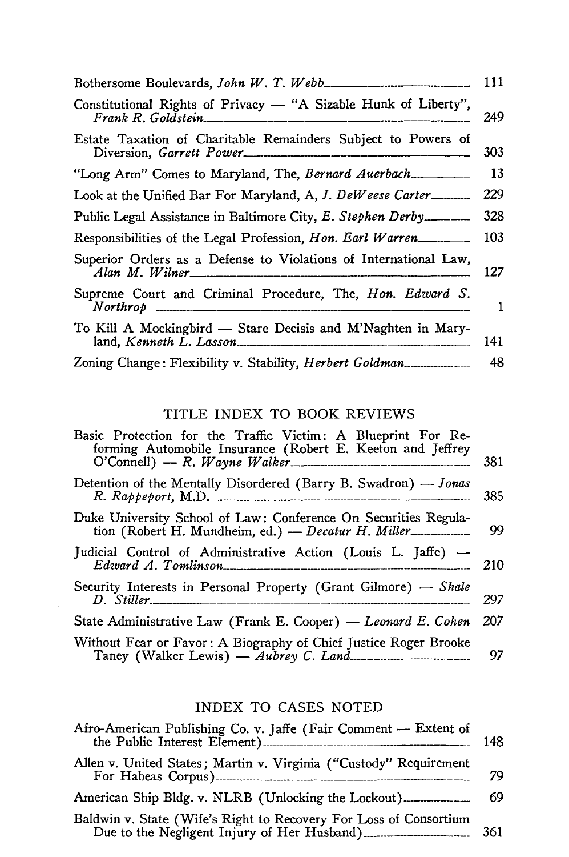| Constitutional Rights of Privacy — "A Sizable Hunk of Liberty",<br>249                   |
|------------------------------------------------------------------------------------------|
| Estate Taxation of Charitable Remainders Subject to Powers of<br>303                     |
|                                                                                          |
| 229<br>Look at the Unified Bar For Maryland, A, J. DeWeese Carter.                       |
| 328                                                                                      |
| 103<br>Responsibilities of the Legal Profession, Hon. Earl Warren                        |
| Superior Orders as a Defense to Violations of International Law,<br>Alan M. Wilner       |
| Supreme Court and Criminal Procedure, The, Hon. Edward S.                                |
| To Kill A Mockingbird - Stare Decisis and M'Naghten in Mary-<br>land, Kenneth L. Lasso n |
|                                                                                          |

## TITLE INDEX TO BOOK REVIEWS

 $\bar{\mathcal{E}}$ 

| Basic Protection for the Traffic Victim: A Blueprint For Re-<br>forming Automobile Insurance (Robert E. Keeton and Jeffrey<br>$O'Connell$ $- R. Wayne Walker$ $Waker$ | 381 |
|-----------------------------------------------------------------------------------------------------------------------------------------------------------------------|-----|
| Detention of the Mentally Disordered (Barry B. Swadron) — Jonas<br>$R.$ $R$ appeport, M.D.                                                                            | 385 |
| Duke University School of Law: Conference On Securities Regula-<br>tion (Robert H. Mundheim, ed.) - Decatur H. Miller                                                 | 99  |
| Judicial Control of Administrative Action (Louis L. Jaffe) — Edward A. Tomlinson                                                                                      | 210 |
| Security Interests in Personal Property (Grant Gilmore) — Shale                                                                                                       | 297 |
| State Administrative Law (Frank E. Cooper) — Leonard E. Cohen                                                                                                         | 207 |
| Without Fear or Favor: A Biography of Chief Justice Roger Brooke                                                                                                      | 97  |

# INDEX TO CASES NOTED

| Afro-American Publishing Co. v. Jaffe (Fair Comment - Extent of<br>the Public Interest Element) | 148 |
|-------------------------------------------------------------------------------------------------|-----|
| Allen v. United States; Martin v. Virginia ("Custody" Requirement                               | 79  |
|                                                                                                 | 69  |
| Baldwin v. State (Wife's Right to Recovery For Loss of Consortium                               |     |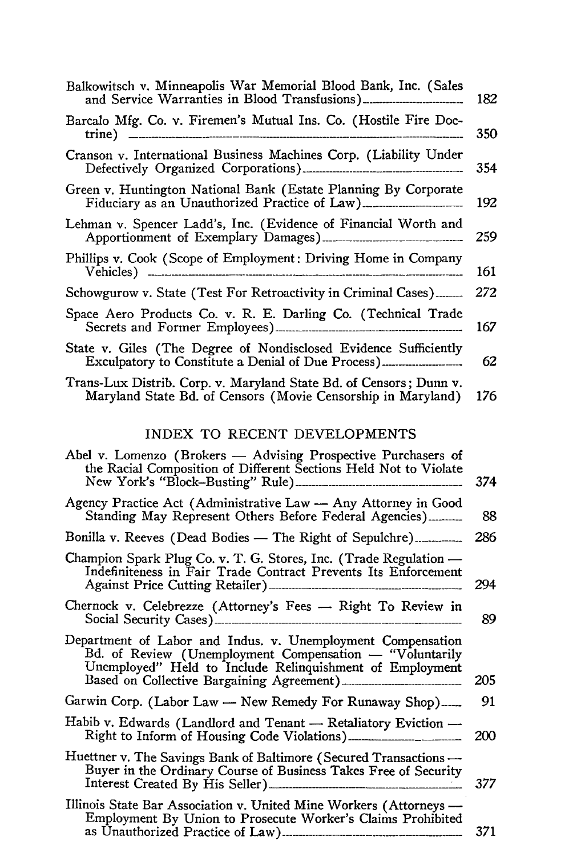| Balkowitsch v. Minneapolis War Memorial Blood Bank, Inc. (Sales                                                                                                                                                                 | 182 |
|---------------------------------------------------------------------------------------------------------------------------------------------------------------------------------------------------------------------------------|-----|
| Barcalo Mfg. Co. v. Firemen's Mutual Ins. Co. (Hostile Fire Doc-                                                                                                                                                                | 350 |
| Cranson v. International Business Machines Corp. (Liability Under                                                                                                                                                               | 354 |
| Green v. Huntington National Bank (Estate Planning By Corporate<br>Fiduciary as an Unauthorized Practice of Law)                                                                                                                | 192 |
| Lehman v. Spencer Ladd's, Inc. (Evidence of Financial Worth and                                                                                                                                                                 | 259 |
| Phillips v. Cook (Scope of Employment: Driving Home in Company                                                                                                                                                                  | 161 |
| Schowgurow v. State (Test For Retroactivity in Criminal Cases)                                                                                                                                                                  | 272 |
| Space Aero Products Co. v. R. E. Darling Co. (Technical Trade                                                                                                                                                                   | 167 |
| State v. Giles (The Degree of Nondisclosed Evidence Sufficiently<br>Exculpatory to Constitute a Denial of Due Process)                                                                                                          | 62  |
| Trans-Lux Distrib. Corp. v. Maryland State Bd. of Censors; Dunn v.<br>Maryland State Bd. of Censors (Movie Censorship in Maryland)                                                                                              | 176 |
| INDEX TO RECENT DEVELOPMENTS                                                                                                                                                                                                    |     |
| Abel v. Lomenzo (Brokers - Advising Prospective Purchasers of<br>the Racial Composition of Different Sections Held Not to Violate                                                                                               | 374 |
| Agency Practice Act (Administrative Law - Any Attorney in Good<br>Standing May Represent Others Before Federal Agencies)                                                                                                        | 88  |
| Bonilla v. Reeves (Dead Bodies - The Right of Sepulchre)                                                                                                                                                                        | 286 |
| Champion Spark Plug Co. v. T. G. Stores, Inc. (Trade Regulation —<br>Indefiniteness in Fair Trade Contract Prevents Its Enforcement                                                                                             | 294 |
| Chernock v. Celebrezze (Attorney's Fees - Right To Review in                                                                                                                                                                    | 89  |
| Department of Labor and Indus. v. Unemployment Compensation<br>Bd. of Review (Unemployment Compensation - "Voluntarily<br>Unemployed" Held to Include Relinquishment of Employment<br>Based on Collective Bargaining Agreement) | 205 |
| Garwin Corp. (Labor Law - New Remedy For Runaway Shop)                                                                                                                                                                          | 91  |
| Habib v. Edwards (Landlord and Tenant — Retaliatory Eviction —<br>Right to Inform of Housing Code Violations)                                                                                                                   | 200 |
| Huettner v. The Savings Bank of Baltimore (Secured Transactions —<br>Buyer in the Ordinary Course of Business Takes Free of Security                                                                                            | 377 |
| Illinois State Bar Association v. United Mine Workers (Attorneys —<br>Employment By Union to Prosecute Worker's Claims Prohibited                                                                                               | 371 |